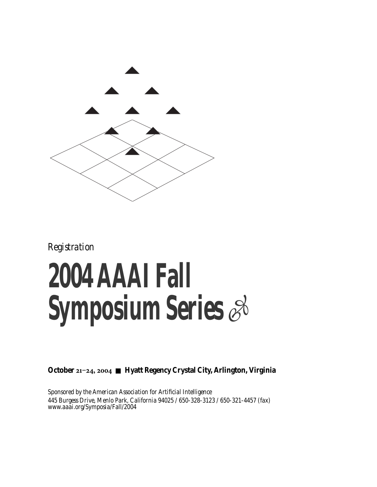

*Registration*

## **2004 AAAI Fall Symposium Series**

**October 21-24, 2004 ■ Hyatt Regency Crystal City, Arlington, Virginia** 

*Sponsored by the American Association for Artificial Intelligence 445 Burgess Drive, Menlo Park, California 94025 / 650-328-3123 / 650-321-4457 (fax) www.aaai.org/Symposia/Fall/2004*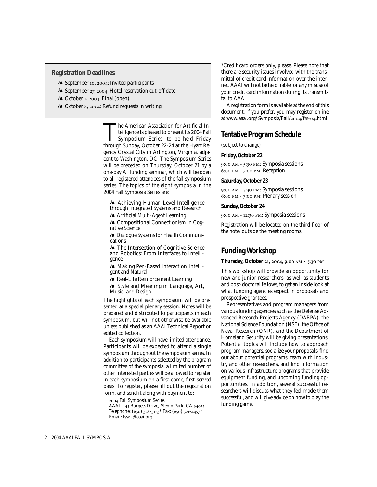## **Registration Deadlines**

- September , : Invited participants
- September , : Hotel reservation cut-off date
- $\clubsuit$  October 1, 2004: Final (open)
- A October 8, 2004: Refund requests in writing ♦

The American Association for Artificial Intelligence is pleased to present its 2004 Fall<br>Symposium Series, to be held Friday<br>through Sunday October 22-24 at the Hyatt Retelligence is pleased to present its 2004 Fall through Sunday, October 22-24 at the Hyatt Regency Crystal City in Arlington, Virginia, adjacent to Washington, DC. The Symposium Series will be preceded on Thursday, October 21 by a one-day AI funding seminar, which will be open to all registered attendees of the fall symposium series. The topics of the eight symposia in the 2004 Fall Symposia Series are:

- Achieving Human-Level Intelligence through Integrated Systems and Research - Artificial Multi-Agent Learning

- Compositional Connectionism in Cognitive Science

- Dialogue Systems for Health Communications

- The Intersection of Cognitive Science and Robotics: From Interfaces to Intelligence

- Making Pen-Based Interaction Intelligent and Natural

- Real-Life Reinforcement Learning

- Style and Meaning in Language, Art, Music, and Design

The highlights of each symposium will be presented at a special plenary session. Notes will be prepared and distributed to participants in each symposium, but will not otherwise be available unless published as an AAAI Technical Report or edited collection.

Each symposium will have limited attendance. Participants will be expected to attend a single symposium throughout the symposium series. In addition to participants selected by the program committee of the symposia, a limited number of other interested parties will be allowed to register in each symposium on a first-come, first-served basis. To register, please fill out the registration form, and send it along with payment to:

 Fall Symposium Series AAAI, 445 Burgess Drive, Menlo Park, CA 94025 Telephone: (650) 328-3123\* Fax: (650) 321-4457\*

Email: fsso4@aaai.org

\*Credit card orders only, please. Please note that there are security issues involved with the transmittal of credit card information over the internet. AAAI will not be held liable for any misuse of your credit card information during its transmittal to AAAI.

A registration form is available at the end of this document. If you prefer, you may register online at www.aaai.org/ Symposia/Fall/2004/fss-04.html.

## **Tentative Program Schedule**

*(subject to change)*

## **Friday, October 22**

9:00 AM - 5:30 PM: Symposia sessions 6:00 PM - 7:00 PM: Reception

### **Saturday, October 23**

9:00 AM - 5:30 PM: Symposia sessions 6:00 PM - 7:00 PM: Plenary session

## **Sunday, October 24**

9:00 AM - 12:30 PM: Symposia sessions

Registration will be located on the third floor of the hotel outside the meeting rooms.

## **Funding Workshop**

Thursday, October 21, 2004, 9:00 AM - 5:30 PM

This workshop will provide an opportunity for new and junior researchers, as well as students and post-doctoral fellows, to get an inside look at what funding agencies expect in proposals and prospective grantees.

Representatives and program managers from various funding agencies such as the Defense Advanced Research Projects Agency (DARPA), the National Science Foundation (NSF), the Office of Naval Research (ONR), and the Department of Homeland Security will be giving presentations. Potential topics will include how to approach program managers, socialize your proposals, find out about potential programs, team with industry and other researchers, and find information on various infrastructure programs that provide equipment funding, and upcoming funding opportunities. In addition, several successful researchers will discuss what they feel made them successful, and will give advice on how to play the funding game.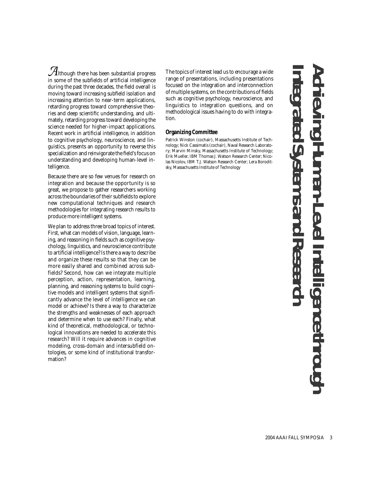*A*lthough there has been substantial progress in some of the subfields of artificial intelligence during the past three decades, the field overall is moving toward increasing subfield isolation and increasing attention to near-term applications, retarding progress toward comprehensive theories and deep scientific understanding, and ultimately, retarding progress toward developing the science needed for higher-impact applications. Recent work in artificial intelligence, in addition to cognitive psychology, neuroscience, and linguistics, presents an opportunity to reverse this specialization and reinvigorate the field's focus on understanding and developing human-level intelligence.

Because there are so few venues for research on integration and because the opportunity is so great, we propose to gather researchers working across the boundaries of their subfields to explore new computational techniques and research methodologies for integrating research results to produce more intelligent systems.

We plan to address three broad topics of interest. First, what can models of vision, language, learning, and reasoning in fields such as cognitive psychology, linguistics, and neuroscience contribute to artificial intelligence? Is there a way to describe and organize these results so that they can be more easily shared and combined across subfields? Second, how can we integrate multiple perception, action, representation, learning, planning, and reasoning systems to build cognitive models and intelligent systems that significantly advance the level of intelligence we can model or achieve? Is there a way to characterize the strengths and weaknesses of each approach and determine when to use each? Finally, what kind of theoretical, methodological, or technological innovations are needed to accelerate this research? Will it require advances in cognitive modeling, cross-domain and intersubfield ontologies, or some kind of institutional transformation?

The topics of interest lead us to encourage a wide range of presentations, including presentations focused on the integration and interconnection of multiple systems, on the contributions of fields such as cognitive psychology, neuroscience, and linguistics to integration questions, and on methodological issues having to do with integration.

## **Organizing Committee**

Patrick Winston (cochair), Massachusetts Institute of Technology; Nick Cassimatis (cochair), Naval Research Laboratory; Marvin Minsky, Massachusetts Institute of Technology; Erik Mueller, IBM Thomas J. Watson Research Center; Nicolas Nicolov, IBM T.J. Watson Research Center; Lera Boroditsky, Massachusetts Institute of Technology

**Achieving Human-Level Intelligence through Integrated Systems and Research**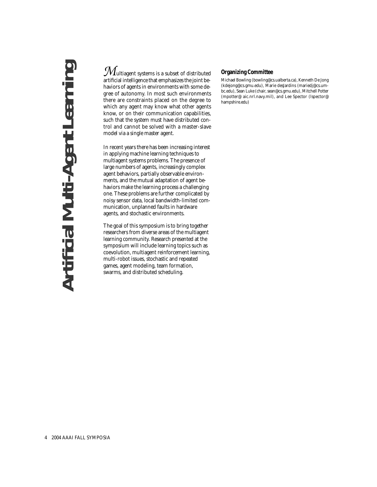## **Artificial Multi-Agent Learning Artificial Multi-Agent Learning**

 $\mathcal M$ ultiagent systems is a subset of distributed artificial intelligence that emphasizes the joint behaviors of agents in environments with some degree of autonomy. In most such environments there are constraints placed on the degree to which any agent may know what other agents know, or on their communication capabilities, such that the system must have distributed control and cannot be solved with a master-slave model via a single master agent.

In recent years there has been increasing interest in applying machine learning techniques to multiagent systems problems. The presence of large numbers of agents, increasingly complex agent behaviors, partially observable environments, and the mutual adaptation of agent behaviors make the learning process a challenging one. These problems are further complicated by noisy sensor data, local bandwidth-limited communication, unplanned faults in hardware agents, and stochastic environments.

The goal of this symposium is to bring together researchers from diverse areas of the multiagent learning community. Research presented at the symposium will include learning topics such as coevolution, multiagent reinforcement learning, multi-robot issues, stochastic and repeated games, agent modeling, team formation, swarms, and distributed scheduling.

## **Organizing Committee**

Michael Bowling (bowling@cs.ualberta.ca), Kenneth De Jong (kdejong@cs.gmu.edu), Marie desJardins (mariedj@cs.umbc.edu), Sean Luke (chair, sean@cs.gmu.edu), Mitchell Potter (mpotter@ aic.nrl.navy.mil), and Lee Spector (lspector@ hampshire.edu)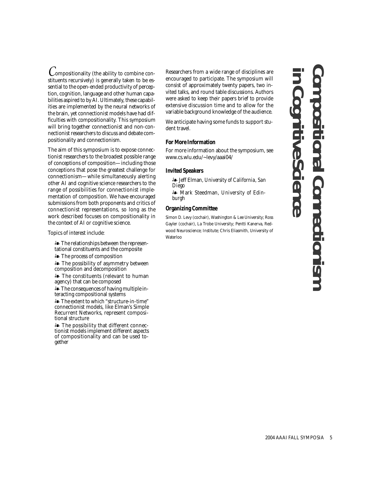*C*ompositionality (the ability to combine constituents recursively) is generally taken to be essential to the open-ended productivity of perception, cognition, language and other human capabilities aspired to by AI. Ultimately, these capabilities are implemented by the neural networks of the brain, yet connectionist models have had difficulties with compositionality. This symposium will bring together connectionist and non-connectionist researchers to discuss and debate compositionality and connectionism.

The aim of this symposium is to expose connectionist researchers to the broadest possible range of conceptions of composition—including those conceptions that pose the greatest challenge for connectionism—while simultaneously alerting other AI and cognitive science researchers to the range of possibilities for connectionist implementation of composition. We have encouraged submissions from both proponents and critics of connectionist representations, so long as the work described focuses on compositionality in the context of AI or cognitive science.

Topics of interest include:

 $\clubsuit$  The relationships between the representational constituents and the composite

- The process of composition

- The possibility of asymmetry between composition and decomposition

 $\clubsuit$  The constituents (relevant to human agency) that can be composed

- The consequences of having multiple interacting compositional systems

- The extent to which "structure-in-time" connectionist models, like Elman's Simple Recurrent Networks, represent compositional structure

- The possibility that different connectionist models implement different aspects of compositionality and can be used together

Researchers from a wide range of disciplines are encouraged to participate. The symposium will consist of approximately twenty papers, two invited talks, and round table discussions. Authors were asked to keep their papers brief to provide extensive discussion time and to allow for the variable background knowledge of the audience.

We anticipate having some funds to support student travel.

## **For More Information**

For more information about the symposium, see www.cs.wlu.edu/~levy/aaai04/

### **Invited Speakers**

- Jeff Elman, *University of California, San Diego*

- Mark Steedman, *University of Edinburgh*

## **Organizing Committee**

Simon D. Levy (cochair), Washington & Lee University; Ross Gayler (cochair), La Trobe University; Pentti Kanerva, Redwood Neuroscience; Institute; Chris Eliasmith, University of Waterloo

## **Compositional Connectionism in Cognitive Science Connect**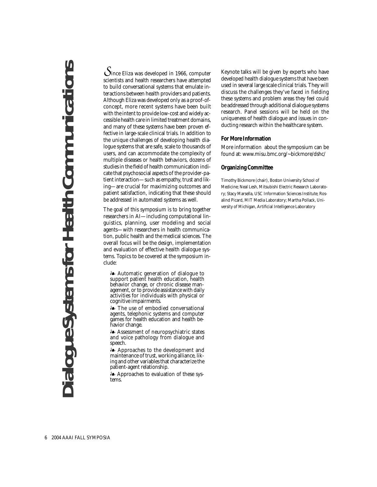# **Dialogue Systems for Health Communications Example 2** Systems for Health Communication

*S*ince Eliza was developed in 1966, computer scientists and health researchers have attempted to build conversational systems that emulate interactions between health providers and patients. Although Eliza was developed only as a proof-ofconcept, more recent systems have been built with the intent to provide low-cost and widely accessible health care in limited treatment domains, and many of these systems have been proven effective in large-scale clinical trials. In addition to the unique challenges of developing health dialogue systems that are safe, scale to thousands of users, and can accommodate the complexity of multiple diseases or health behaviors, dozens of studies in the field of health communication indicate that psychosocial aspects of the provider-patient interaction—such as empathy, trust and liking—are crucial for maximizing outcomes and patient satisfaction, indicating that these should be addressed in automated systems as well.

The goal of this symposium is to bring together researchers in AI—including computational linguistics, planning, user modeling and social agents—with researchers in health communication, public health and the medical sciences. The overall focus will be the design, implementation and evaluation of effective health dialogue systems. Topics to be covered at the symposium include:

- Automatic generation of dialogue to support patient health education, health behavior change, or chronic disease management, or to provide assistance with daily activities for individuals with physical or cognitive impairments.

- The use of embodied conversational agents, telephonic systems and computer games for health education and health behavior change.

- Assessment of neuropsychiatric states and voice pathology from dialogue and speech.

- Approaches to the development and maintenance of trust, working alliance, liking and other variables that characterize the patient-agent relationship.

- Approaches to evaluation of these systems.

Keynote talks will be given by experts who have developed health dialogue systems that have been used in several large scale clinical trials. They will discuss the challenges they've faced in fielding these systems and problem areas they feel could be addressed through additional dialogue systems research. Panel sessions will be held on the uniqueness of health dialogue and issues in conducting research within the healthcare system.

## **For More Information**

More information about the symposium can be found at: www.misu.bmc.org/~bickmore/dshc/

## **Organizing Committee**

Timothy Bickmore (chair), Boston University School of Medicine; Neal Lesh, Mitsubishi Electric Research Laboratory; Stacy Marsella, USC Information Sciences Institute; Rosalind Picard, MIT Media Laboratory; Martha Pollack, University of Michigan, Artificial Intelligence Laboratory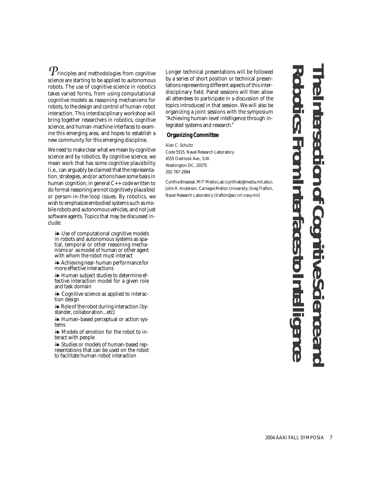$\emph{P}_{\textrm{rinciples}}$  and methodologies from cognitive science are starting to be applied to autonomous robots. The use of cognitive science in robotics takes varied forms, from using computational cognitive models as reasoning mechanisms for robots, to the design and control of human-robot interaction. This interdisciplinary workshop will bring together researchers in robotics, cognitive science, and human-machine interfaces to examine this emerging area, and hopes to establish a new community for this emerging discipline.

We need to make clear what we mean by cognitive science and by robotics. By cognitive science, we mean work that has some cognitive plausibility (i.e., can arguably be claimed that the representation, strategies, and/or actions have some basis in human cognition; in general  $C++$  code written to do formal reasoning are not cognitively plausible) or person-in-the-loop issues. By robotics, we wish to emphasize embodied systems such as mobile robots and autonomous vehicles, and not just software agents. Topics that may be discussed include:

- Use of computational cognitive models in robots and autonomous systems as spatial, temporal or other reasoning mechanisms or as model of human or other agent with whom the robot must interact

- Achieving near-human performance for more effective interactions

- Human subject studies to determine effective interaction model for a given role and task domain

- Cognitive science as applied to interaction design

- Role of the robot during interaction (by- stander, collaboration...etc)

- Human-based perceptual or action systems

- Models of emotion for the robot to interact with people

- Studies or models of human-based representations that can be used on the robot to facilitate human-robot interaction

Longer technical presentations will be followed by a series of short position or technical presentations representing different aspects of this interdisciplinary field. Panel sessions will then allow all attendees to participate in a discussion of the topics introduced in that session. We will also be organizing a joint sessions with the symposium "Achieving human-level intelligence through integrated systems and research."

## **Organizing Committee**

Alan C. Schultz Code 5515, Naval Research Laboratory 4555 Overlook Ave., S.W. Washington DC, 20375 202-767-2684

Cynthia Breazeal, MIT Media Lab (cynthiab@media.mit.edu); John R. Anderson, Carnegie Mellon University; Greg Trafton, Naval Research Laboratory (trafton@aic.nrl.navy.mil)

**Robotic The Intersection of Cognitive Science and s: From Interfaces to Intelligence**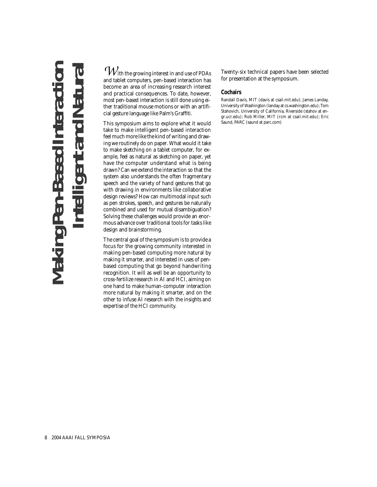## **Making Pen-Based Interaction Intelligent and Natural** Making Pen-Based Intera **put and**

*W*ith the growing interest in and use of PDAs and tablet computers, pen-based interaction has become an area of increasing research interest and practical consequences. To date, however, most pen-based interaction is still done using either traditional mouse motions or with an artificial gesture language like Palm's Graffiti.

This symposium aims to explore what it would take to make intelligent pen-based interaction feel much more like the kind of writing and drawing we routinely do on paper. What would it take to make sketching on a tablet computer, for example, feel as natural as sketching on paper, yet have the computer understand what is being drawn? Can we extend the interaction so that the system also understands the often fragmentary speech and the variety of hand gestures that go with drawing in environments like collaborative design reviews? How can multimodal input such as pen strokes, speech, and gestures be naturally combined and used for mutual disambiguation? Solving these challenges would provide an enormous advance over traditional tools for tasks like design and brainstorming.

The central goal of the symposium is to provide a focus for the growing community interested in making pen-based computing more natural by making it smarter, and interested in uses of penbased computing that go beyond handwriting recognition. It will as well be an opportunity to cross-fertilize research in AI and HCI, aiming on one hand to make human-computer interaction more natural by making it smarter, and on the other to infuse AI research with the insights and expertise of the HCI community.

Twenty-six technical papers have been selected for presentation at the symposium.

## **Cochairs**

Randall Davis, MIT (davis at csail.mit.edu); James Landay, University of Washington (landay at cs.washington.edu); Tom Stahovich, University of California, Riverside (stahov at engr.ucr.edu); Rob Miller, MIT (rcm at csail.mit.edu); Eric Saund, PARC (saund at parc.com)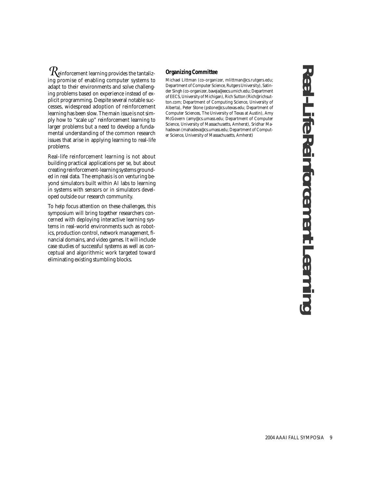*R*einforcement learning provides the tantalizing promise of enabling computer systems to adapt to their environments and solve challenging problems based on experience instead of explicit programming. Despite several notable successes, widespread adoption of reinforcement learning has been slow. The main issue is not simply how to "scale up" reinforcement learning to larger problems but a need to develop a fundamental understanding of the common research issues that arise in applying learning to real-life problems.

Real-life reinforcement learning is not about building practical applications per se, but about creating reinforcement-learning systems grounded in real data. The emphasis is on venturing beyond simulators built within AI labs to learning in systems with sensors or in simulators developed outside our research community.

To help focus attention on these challenges, this symposium will bring together researchers concerned with deploying interactive learning systems in real-world environments such as robotics, production control, network management, financial domains, and video games. It will include case studies of successful systems as well as conceptual and algorithmic work targeted toward eliminating existing stumbling blocks.

## **Organizing Committee**

Michael Littman (co-organizer, mlittman@cs.rutgers.edu; Department of Computer Science, Rutgers University), Satinder Singh (co-organizer, baveja@eecs.umich.edu; Department of EECS, University of Michigan), Rich Sutton (Rich@richsutton.com; Department of Computing Science, University of Alberta), Peter Stone (pstone@cs.utexas.edu; Department of Computer Sciences, The University of Texas at Austin), Amy McGovern (amy@cs.umass.edu; Department of Computer Science, University of Massachusetts, Amherst), Sridhar Mahadevan (mahadeva@cs.umass.edu; Department of Computer Science, University of Massachusetts, Amherst)

**Real-Life Reinforcement Learning** Real-Life Reinforcement Learnin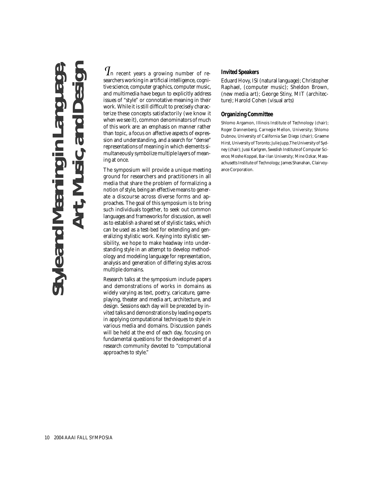## **Style and Meaning in Language, Art, Music, and Design Vleand** M

*I*n recent years a growing number of researchers working in artificial intelligence, cognitive science, computer graphics, computer music, and multimedia have begun to explicitly address issues of "style" or connotative meaning in their work. While it is still difficult to precisely characterize these concepts satisfactorily (we know it when we see it), common denominators of much of this work are: an emphasis on manner rather than topic, a focus on affective aspects of expression and understanding, and a search for "dense" representations of meaning in which elements simultaneously symbolize multiple layers of meaning at once.

The symposium will provide a unique meeting ground for researchers and practitioners in all media that share the problem of formalizing a notion of style, being an effective means to generate a discourse across diverse forms and approaches. The goal of this symposium is to bring such individuals together, to seek out common languages and frameworks for discussion, as well as to establish a shared set of stylistic tasks, which can be used as a test-bed for extending and generalizing stylistic work. Keying into stylistic sensibility, we hope to make headway into understanding style in an attempt to develop methodology and modeling language for representation, analysis and generation of differing styles across multiple domains.

Research talks at the symposium include papers and demonstrations of works in domains as widely varying as text, poetry, caricature, gameplaying, theater and media art, architecture, and design. Sessions each day will be preceded by invited talks and demonstrations by leading experts in applying computational techniques to style in various media and domains. Discussion panels will be held at the end of each day, focusing on fundamental questions for the development of a research community devoted to "computational approaches to style."

## **Invited Speakers**

Eduard Hovy, ISI (natural language); Christopher Raphael, (computer music); Sheldon Brown, (new media art); George Stiny, MIT (architecture); Harold Cohen (visual arts)

## **Organizing Committee**

Shlomo Argamon, Illinois Institute of Technology (chair); Roger Dannenberg, Carnegie Mellon, University; Shlomo Dubnov, University of California San Diego (chair); Graeme Hirst, University of Toronto; Julie Jupp,The University of Sydney (chair); Jussi Karlgren, Swedish Institute of Computer Science; Moshe Koppel, Bar-Ilan University; Mine Ozkar, Massachusetts Institute of Technology; James Shanahan, Clairvoyance Corporation.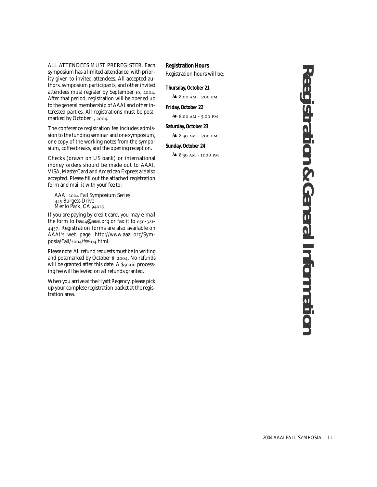ALL ATTENDEES MUST PREREGISTER. Each symposium has a limited attendance, with priority given to invited attendees. All accepted authors, symposium participants, and other invited attendees must register by September 10, 2004. After that period, registration will be opened up to the general membership of AAAI and other interested parties. All registrations must be postmarked by October 1, 2004.

The conference registration fee includes admission to the funding seminar and one symposium, one copy of the working notes from the symposium, coffee breaks, and the opening reception.

Checks (drawn on US bank) or international money orders should be made out to AAAI. VISA, MasterCard and American Express are also accepted. Please fill out the attached registration form and mail it with your fee to:

AAAI 2004 Fall Symposium Series 445 Burgess Drive Menlo Park, CA

If you are paying by credit card, you may e-mail the form to fsso4@aaai.org or fax it to  $650-321$ -. Registration forms are also available on AAAI's web page: http://www.aaai.org/Sym $posia/Fall/2004/fss-04.html.$ 

*Please note:* All refund requests must be in writing and postmarked by October 8, 2004. No refunds will be granted after this date. A  $$50.00$  processing fee will be levied on all refunds granted.

When you arrive at the Hyatt Regency, please pick up your complete registration packet at the registration area.

## **Registration Hours**

Registration hours will be:

## **Thursday, October 21**

 $\stackrel{6}{\bullet}$  8:00 AM <sup>-</sup> 5:00 PM

## **Friday, October 22**

 $\stackrel{6}{\bullet}$  8:00 AM - 5:00 PM

## **Saturday, October 23**

 $8.30$  AM - 5:00 PM

## **Sunday, October 24**

 $\stackrel{6}{\bullet}$  8:30 AM - 11:00 PM

**Reegistration & General Information** Reegistration & General Information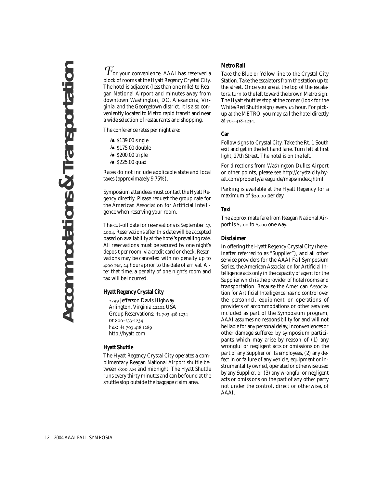*&***Transportation Accommodations & Transportation Accommodations** 

 $\mathcal{T}_\text{or your convenience}$  AAAI has reserved a block of rooms at the Hyatt Regency Crystal City. The hotel is adjacent (less than one mile) to Reagan National Airport and minutes away from downtown Washington, DC, Alexandria, Virginia, and the Georgetown district. It is also conveniently located to Metro rapid transit and near a wide selection of restaurants and shopping.

The conference rates per night are:

- & \$139.00 single
- **⊱** \$175.00 double
- s200.00 triple≱ ♦
- *i* \$225.00 quad

Rates do not include applicable state and local taxes (approximately 9.75%).

Symposium attendees must contact the Hyatt Regency directly. Please request the group rate for the American Association for Artificial Intelligence when reserving your room.

The cut-off date for reservations is September  $27$ , . Reservations after this date will be accepted based on availability at the hotel's prevailing rate. All reservations must be secured by one night's deposit per room, via credit card or check. Reservations may be cancelled with no penalty up to 4:00 PM, 24 hours prior to the date of arrival. After that time, a penalty of one night's room and tax will be incurred.

## **Hyatt Regency Crystal City**

2799 Jefferson Davis Highway Arlington, Virginia 22202 USA Group Reservations: +1 703 418 1234 or 800-233-1234 Fax: +1 703 418 1289 http://hyatt.com

## **Hyatt Shuttle**

The Hyatt Regency Crystal City operates a complimentary Reagan National Airport shuttle between 6:00 AM and midnight. The Hyatt Shuttle runs every thirty minutes and can be found at the shuttle stop outside the baggage claim area.

## **Metro Rail**

Take the Blue or Yellow line to the Crystal City Station. Take the escalators from the station up to the street. Once you are at the top of the escalators, turn to the left toward the brown Metro sign. The Hyatt shuttles stop at the corner (look for the White\Red Shuttle sign) every  $1/2$  hour. For pickup at the METRO, you may call the hotel directly at 703-418-1234.

## **Car**

Follow signs to Crystal City. Take the Rt. 1 South exit and get in the left hand lane. Turn left at first light, 27th Street. The hotel is on the left.

For directions from Washington Dulles Airport or other points, please see http://crystalcity.hyatt.com/property/areaguide/maps/index.jhtml

Parking is available at the Hyatt Regency for a maximum of \$20.00 per day.

## **Taxi**

The approximate fare from Reagan National Airport is \$5.00 to \$7.00 one way.

### **Disclaimer**

In offering the Hyatt Regency Crystal City (hereinafter referred to as "Supplier"), and all other service providers for the AAAI Fall Symposium Series, the American Association for Artificial Intelligence acts only in the capacity of agent for the Supplier which is the provider of hotel rooms and transportation. Because the American Association for Artificial Intelligence has no control over the personnel, equipment or operations of providers of accommodations or other services included as part of the Symposium program, AAAI assumes no responsibility for and will not be liable for any personal delay, inconveniences or other damage suffered by symposium participants which may arise by reason of (1) any wrongful or negligent acts or omissions on the part of any Supplier or its employees, (2) any defect in or failure of any vehicle, equipment or instrumentality owned, operated or otherwise used by any Supplier, or (3) any wrongful or negligent acts or omissions on the part of any other party not under the control, direct or otherwise, of AAAI.